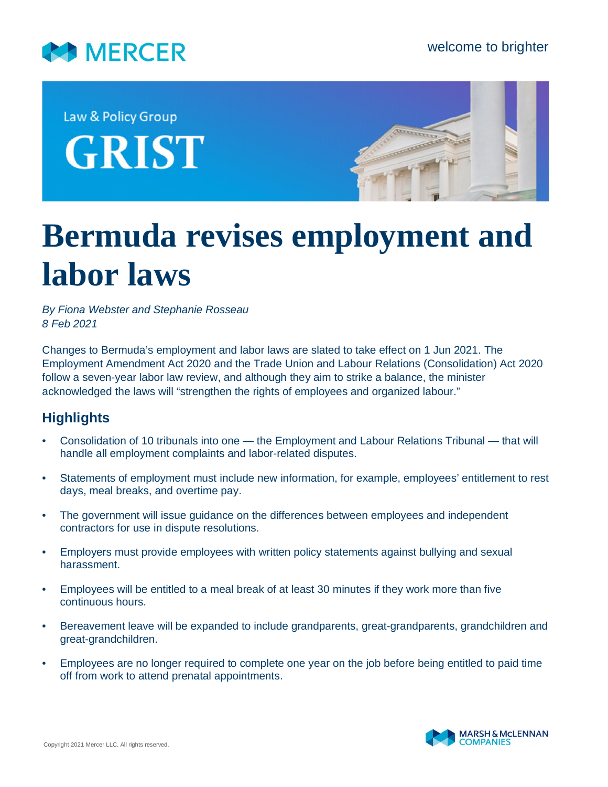

Law & Policy Group **GRIST** 



## **Bermuda revises employment and labor laws**

*By Fiona Webster and Stephanie Rosseau 8 Feb 2021*

Changes to Bermuda's employment and labor laws are slated to take effect on 1 Jun 2021. The Employment Amendment Act 2020 and the Trade Union and Labour Relations (Consolidation) Act 2020 follow a seven-year labor law review, and although they aim to strike a balance, the minister acknowledged the laws will "strengthen the rights of employees and organized labour."

## **Highlights**

- Consolidation of 10 tribunals into one the Employment and Labour Relations Tribunal that will handle all employment complaints and labor-related disputes.
- Statements of employment must include new information, for example, employees' entitlement to rest days, meal breaks, and overtime pay.
- The government will issue guidance on the differences between employees and independent contractors for use in dispute resolutions.
- Employers must provide employees with written policy statements against bullying and sexual harassment.
- Employees will be entitled to a meal break of at least 30 minutes if they work more than five continuous hours.
- Bereavement leave will be expanded to include grandparents, great-grandparents, grandchildren and great-grandchildren.
- Employees are no longer required to complete one year on the job before being entitled to paid time off from work to attend prenatal appointments.